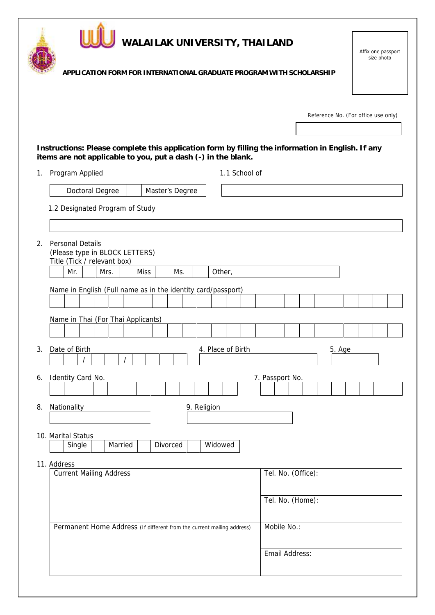|                | WALAILAK UNIVERSITY, THAILAND                                                                                                           | Affix one passport<br>size photo    |
|----------------|-----------------------------------------------------------------------------------------------------------------------------------------|-------------------------------------|
|                | APPLICATION FORM FOR INTERNATIONAL GRADUATE PROGRAM WITH SCHOLARSHIP                                                                    |                                     |
|                |                                                                                                                                         | Reference No. (For office use only) |
|                | Instructions: Please complete this application form by filling the information in English. If any                                       |                                     |
| 1 <sub>1</sub> | items are not applicable to you, put a dash (-) in the blank.<br>Program Applied<br>1.1 School of                                       |                                     |
|                | Doctoral Degree<br>Master's Degree                                                                                                      |                                     |
|                | 1.2 Designated Program of Study                                                                                                         |                                     |
| 2.             | <b>Personal Details</b><br>(Please type in BLOCK LETTERS)<br>Title (Tick / relevant box)<br>Mr.<br>Mrs.<br><b>Miss</b><br>Ms.<br>Other, |                                     |
|                | Name in English (Full name as in the identity card/passport)<br>Name in Thai (For Thai Applicants)                                      |                                     |
|                | Date of Birth<br>4. Place of Birth                                                                                                      | 5. Age                              |
| 6.             | Identity Card No.                                                                                                                       | 7. Passport No.                     |
| 8.             | 9. Religion<br>Nationality                                                                                                              |                                     |
|                | 10. Marital Status<br>Divorced<br>Widowed<br>Single<br>Married                                                                          |                                     |
|                | 11. Address<br><b>Current Mailing Address</b>                                                                                           | Tel. No. (Office):                  |
|                |                                                                                                                                         | Tel. No. (Home):                    |
|                | Permanent Home Address (If different from the current mailing address)                                                                  | Mobile No.:                         |
|                |                                                                                                                                         | Email Address:                      |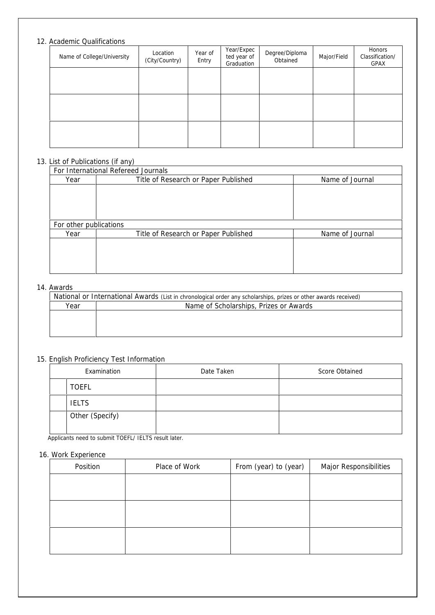# 12. Academic Qualifications

| Name of College/University | Location<br>(City/Country) | Year of<br>Entry | Year/Expec<br>ted year of<br>Graduation | Degree/Diploma<br>Obtained | Major/Field | Honors<br>Classification/<br>GPAX |
|----------------------------|----------------------------|------------------|-----------------------------------------|----------------------------|-------------|-----------------------------------|
|                            |                            |                  |                                         |                            |             |                                   |
|                            |                            |                  |                                         |                            |             |                                   |
|                            |                            |                  |                                         |                            |             |                                   |
|                            |                            |                  |                                         |                            |             |                                   |

# 13. List of Publications (if any)

| For International Refereed Journals |                                                         |                 |  |  |  |
|-------------------------------------|---------------------------------------------------------|-----------------|--|--|--|
| Year                                | Title of Research or Paper Published<br>Name of Journal |                 |  |  |  |
|                                     |                                                         |                 |  |  |  |
|                                     |                                                         |                 |  |  |  |
|                                     |                                                         |                 |  |  |  |
|                                     |                                                         |                 |  |  |  |
| For other publications              |                                                         |                 |  |  |  |
| Year                                | Title of Research or Paper Published                    | Name of Journal |  |  |  |
|                                     |                                                         |                 |  |  |  |
|                                     |                                                         |                 |  |  |  |
|                                     |                                                         |                 |  |  |  |
|                                     |                                                         |                 |  |  |  |

### 14. Awards

| National or International Awards (List in chronological order any scholarships, prizes or other awards received) |  |  |  |  |  |
|------------------------------------------------------------------------------------------------------------------|--|--|--|--|--|
| Name of Scholarships, Prizes or Awards                                                                           |  |  |  |  |  |
|                                                                                                                  |  |  |  |  |  |
|                                                                                                                  |  |  |  |  |  |
|                                                                                                                  |  |  |  |  |  |
|                                                                                                                  |  |  |  |  |  |

# 15. English Proficiency Test Information

| Examination     | Date Taken | Score Obtained |
|-----------------|------------|----------------|
| <b>TOEFL</b>    |            |                |
| <b>IELTS</b>    |            |                |
| Other (Specify) |            |                |

Applicants need to submit TOEFL/ IELTS result later.

# 16. Work Experience

| Position | Place of Work | From (year) to (year) | Major Responsibilities |
|----------|---------------|-----------------------|------------------------|
|          |               |                       |                        |
|          |               |                       |                        |
|          |               |                       |                        |
|          |               |                       |                        |
|          |               |                       |                        |
|          |               |                       |                        |